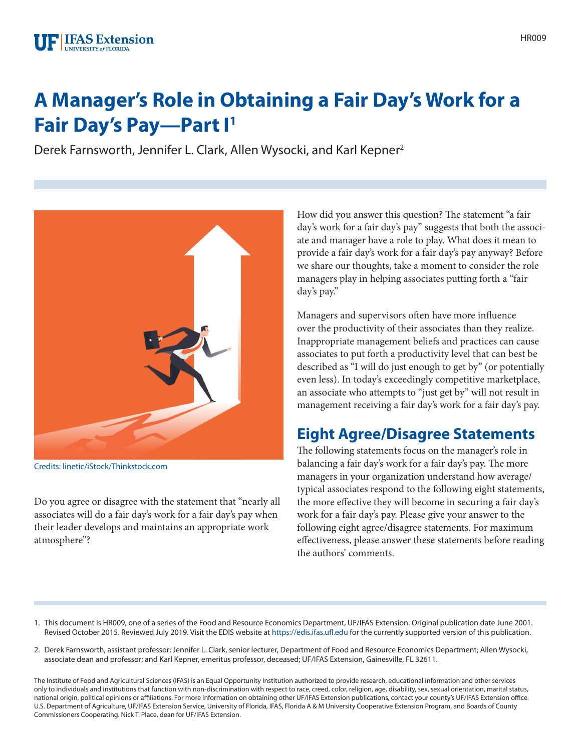### **FIFAS** Extension UNIVERSITY of FLORIDA

# **A Manager's Role in Obtaining a Fair Day's Work for a Fair Day's Pay—Part I1**

Derek Farnsworth, Jennifer L. Clark, Allen Wysocki, and Karl Kepner2



Credits: linetic/iStock/Thinkstock.com

Do you agree or disagree with the statement that "nearly all associates will do a fair day's work for a fair day's pay when their leader develops and maintains an appropriate work atmosphere"?

How did you answer this question? The statement "a fair day's work for a fair day's pay" suggests that both the associate and manager have a role to play. What does it mean to provide a fair day's work for a fair day's pay anyway? Before we share our thoughts, take a moment to consider the role managers play in helping associates putting forth a "fair day's pay."

Managers and supervisors often have more influence over the productivity of their associates than they realize. Inappropriate management beliefs and practices can cause associates to put forth a productivity level that can best be described as "I will do just enough to get by" (or potentially even less). In today's exceedingly competitive marketplace, an associate who attempts to "just get by" will not result in management receiving a fair day's work for a fair day's pay.

## **Eight Agree/Disagree Statements**

The following statements focus on the manager's role in balancing a fair day's work for a fair day's pay. The more managers in your organization understand how average/ typical associates respond to the following eight statements, the more effective they will become in securing a fair day's work for a fair day's pay. Please give your answer to the following eight agree/disagree statements. For maximum effectiveness, please answer these statements before reading the authors' comments.

- 1. This document is HR009, one of a series of the Food and Resource Economics Department, UF/IFAS Extension. Original publication date June 2001. Revised October 2015. Reviewed July 2019. Visit the EDIS website at <https://edis.ifas.ufl.edu>for the currently supported version of this publication.
- 2. Derek Farnsworth, assistant professor; Jennifer L. Clark, senior lecturer, Department of Food and Resource Economics Department; Allen Wysocki, associate dean and professor; and Karl Kepner, emeritus professor, deceased; UF/IFAS Extension, Gainesville, FL 32611.

The Institute of Food and Agricultural Sciences (IFAS) is an Equal Opportunity Institution authorized to provide research, educational information and other services only to individuals and institutions that function with non-discrimination with respect to race, creed, color, religion, age, disability, sex, sexual orientation, marital status, national origin, political opinions or affiliations. For more information on obtaining other UF/IFAS Extension publications, contact your county's UF/IFAS Extension office. U.S. Department of Agriculture, UF/IFAS Extension Service, University of Florida, IFAS, Florida A & M University Cooperative Extension Program, and Boards of County Commissioners Cooperating. Nick T. Place, dean for UF/IFAS Extension.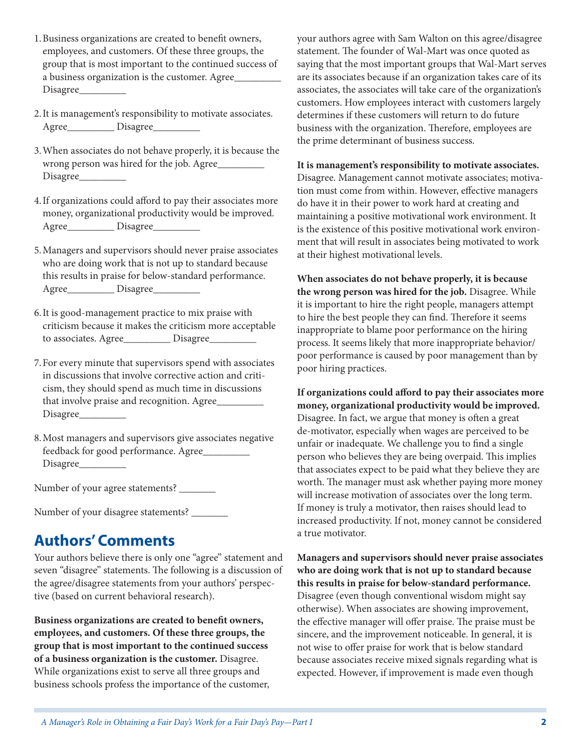- 1.Business organizations are created to benefit owners, employees, and customers. Of these three groups, the group that is most important to the continued success of a business organization is the customer. Agree\_\_\_\_\_\_\_\_\_ Disagree\_
- 2.It is management's responsibility to motivate associates. Agree\_\_\_\_\_\_\_\_\_\_\_\_ Disagree\_\_\_\_\_\_\_\_\_\_\_
- 3.When associates do not behave properly, it is because the wrong person was hired for the job. Agree\_\_\_\_\_\_\_\_\_ Disagree\_\_\_\_\_\_\_\_\_
- 4.If organizations could afford to pay their associates more money, organizational productivity would be improved. Agree\_\_\_\_\_\_\_\_\_\_\_\_ Disagree\_\_\_\_\_\_\_\_\_\_\_
- 5.Managers and supervisors should never praise associates who are doing work that is not up to standard because this results in praise for below-standard performance. Agree\_\_\_\_\_\_\_\_\_\_\_\_\_ Disagree\_\_\_\_\_
- 6.It is good-management practice to mix praise with criticism because it makes the criticism more acceptable to associates. Agree\_\_\_\_\_\_\_\_\_\_ Disagree\_\_\_\_\_\_\_\_
- 7.For every minute that supervisors spend with associates in discussions that involve corrective action and criticism, they should spend as much time in discussions that involve praise and recognition. Agree\_\_\_\_\_\_\_\_\_\_ Disagree\_\_\_\_\_\_\_\_\_
- 8.Most managers and supervisors give associates negative feedback for good performance. Agree\_\_\_\_\_\_\_\_\_ Disagree\_\_\_\_\_\_\_\_\_

Number of your agree statements? \_\_\_\_\_\_\_\_

Number of your disagree statements? \_\_\_\_\_\_\_

### **Authors' Comments**

Your authors believe there is only one "agree" statement and seven "disagree" statements. The following is a discussion of the agree/disagree statements from your authors' perspective (based on current behavioral research).

**Business organizations are created to benefit owners, employees, and customers. Of these three groups, the group that is most important to the continued success of a business organization is the customer.** Disagree. While organizations exist to serve all three groups and business schools profess the importance of the customer, your authors agree with Sam Walton on this agree/disagree statement. The founder of Wal-Mart was once quoted as saying that the most important groups that Wal-Mart serves are its associates because if an organization takes care of its associates, the associates will take care of the organization's customers. How employees interact with customers largely determines if these customers will return to do future business with the organization. Therefore, employees are the prime determinant of business success.

#### **It is management's responsibility to motivate associates.**

Disagree. Management cannot motivate associates; motivation must come from within. However, effective managers do have it in their power to work hard at creating and maintaining a positive motivational work environment. It is the existence of this positive motivational work environment that will result in associates being motivated to work at their highest motivational levels.

**When associates do not behave properly, it is because the wrong person was hired for the job.** Disagree. While it is important to hire the right people, managers attempt to hire the best people they can find. Therefore it seems inappropriate to blame poor performance on the hiring process. It seems likely that more inappropriate behavior/ poor performance is caused by poor management than by poor hiring practices.

**If organizations could afford to pay their associates more money, organizational productivity would be improved.** Disagree. In fact, we argue that money is often a great de-motivator, especially when wages are perceived to be unfair or inadequate. We challenge you to find a single person who believes they are being overpaid. This implies that associates expect to be paid what they believe they are worth. The manager must ask whether paying more money will increase motivation of associates over the long term. If money is truly a motivator, then raises should lead to increased productivity. If not, money cannot be considered a true motivator.

**Managers and supervisors should never praise associates who are doing work that is not up to standard because this results in praise for below-standard performance.**  Disagree (even though conventional wisdom might say otherwise). When associates are showing improvement, the effective manager will offer praise. The praise must be sincere, and the improvement noticeable. In general, it is not wise to offer praise for work that is below standard because associates receive mixed signals regarding what is expected. However, if improvement is made even though